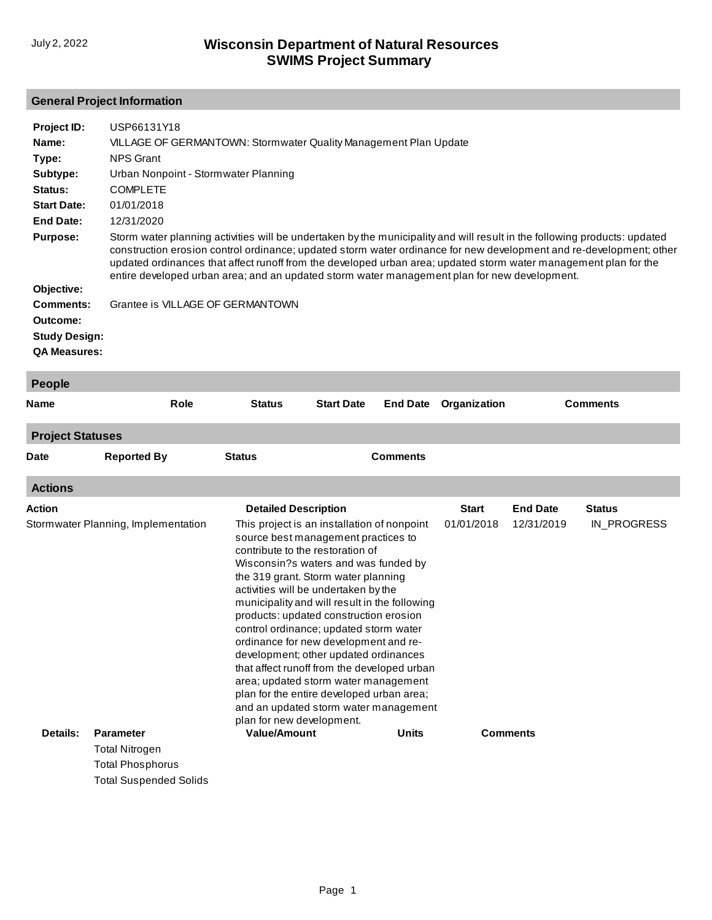#### **General Project Information**

| Project ID:                                             | USP66131Y18                                                                                                                                                                                                                                                                                                                                                                                                                                                          |                                                                  |                   |                 |              |                 |  |  |
|---------------------------------------------------------|----------------------------------------------------------------------------------------------------------------------------------------------------------------------------------------------------------------------------------------------------------------------------------------------------------------------------------------------------------------------------------------------------------------------------------------------------------------------|------------------------------------------------------------------|-------------------|-----------------|--------------|-----------------|--|--|
| Name:                                                   |                                                                                                                                                                                                                                                                                                                                                                                                                                                                      | VILLAGE OF GERMANTOWN: Stormwater Quality Management Plan Update |                   |                 |              |                 |  |  |
| Type:                                                   | <b>NPS Grant</b>                                                                                                                                                                                                                                                                                                                                                                                                                                                     |                                                                  |                   |                 |              |                 |  |  |
| Subtype:                                                |                                                                                                                                                                                                                                                                                                                                                                                                                                                                      | Urban Nonpoint - Stormwater Planning                             |                   |                 |              |                 |  |  |
| Status:                                                 | <b>COMPLETE</b>                                                                                                                                                                                                                                                                                                                                                                                                                                                      |                                                                  |                   |                 |              |                 |  |  |
| <b>Start Date:</b>                                      | 01/01/2018                                                                                                                                                                                                                                                                                                                                                                                                                                                           |                                                                  |                   |                 |              |                 |  |  |
| <b>End Date:</b>                                        | 12/31/2020                                                                                                                                                                                                                                                                                                                                                                                                                                                           |                                                                  |                   |                 |              |                 |  |  |
| <b>Purpose:</b>                                         | Storm water planning activities will be undertaken by the municipality and will result in the following products: updated<br>construction erosion control ordinance; updated storm water ordinance for new development and re-development; other<br>updated ordinances that affect runoff from the developed urban area; updated storm water management plan for the<br>entire developed urban area; and an updated storm water management plan for new development. |                                                                  |                   |                 |              |                 |  |  |
| Objective:                                              |                                                                                                                                                                                                                                                                                                                                                                                                                                                                      |                                                                  |                   |                 |              |                 |  |  |
| <b>Comments:</b>                                        | Grantee is VILLAGE OF GERMANTOWN                                                                                                                                                                                                                                                                                                                                                                                                                                     |                                                                  |                   |                 |              |                 |  |  |
| Outcome:<br><b>Study Design:</b><br><b>QA Measures:</b> |                                                                                                                                                                                                                                                                                                                                                                                                                                                                      |                                                                  |                   |                 |              |                 |  |  |
| <b>People</b>                                           |                                                                                                                                                                                                                                                                                                                                                                                                                                                                      |                                                                  |                   |                 |              |                 |  |  |
| Name                                                    | Role                                                                                                                                                                                                                                                                                                                                                                                                                                                                 | <b>Status</b>                                                    | <b>Start Date</b> | <b>End Date</b> | Organization | <b>Comments</b> |  |  |

# **Actions Project Statuses Date Reported By Status Comments**

| <b>ACTIONS</b>                      |                  |                                                                                                                                                                                                                                                                                                                                                                                                                                                                                                                                                                                                                                                                                |       |                 |                 |               |
|-------------------------------------|------------------|--------------------------------------------------------------------------------------------------------------------------------------------------------------------------------------------------------------------------------------------------------------------------------------------------------------------------------------------------------------------------------------------------------------------------------------------------------------------------------------------------------------------------------------------------------------------------------------------------------------------------------------------------------------------------------|-------|-----------------|-----------------|---------------|
| Action                              |                  | <b>Detailed Description</b>                                                                                                                                                                                                                                                                                                                                                                                                                                                                                                                                                                                                                                                    |       | <b>Start</b>    | <b>End Date</b> | <b>Status</b> |
| Stormwater Planning, Implementation |                  | This project is an installation of nonpoint<br>source best management practices to<br>contribute to the restoration of<br>Wisconsin?s waters and was funded by<br>the 319 grant. Storm water planning<br>activities will be undertaken by the<br>municipality and will result in the following<br>products: updated construction erosion<br>control ordinance; updated storm water<br>ordinance for new development and re-<br>development; other updated ordinances<br>that affect runoff from the developed urban<br>area; updated storm water management<br>plan for the entire developed urban area;<br>and an updated storm water management<br>plan for new development. |       | 01/01/2018      | 12/31/2019      | IN PROGRESS   |
| Details:                            | <b>Parameter</b> | <b>Value/Amount</b>                                                                                                                                                                                                                                                                                                                                                                                                                                                                                                                                                                                                                                                            | Units | <b>Comments</b> |                 |               |
|                                     | Total Nitrogen   |                                                                                                                                                                                                                                                                                                                                                                                                                                                                                                                                                                                                                                                                                |       |                 |                 |               |
|                                     | Total Phosphorus |                                                                                                                                                                                                                                                                                                                                                                                                                                                                                                                                                                                                                                                                                |       |                 |                 |               |

Total Suspended Solids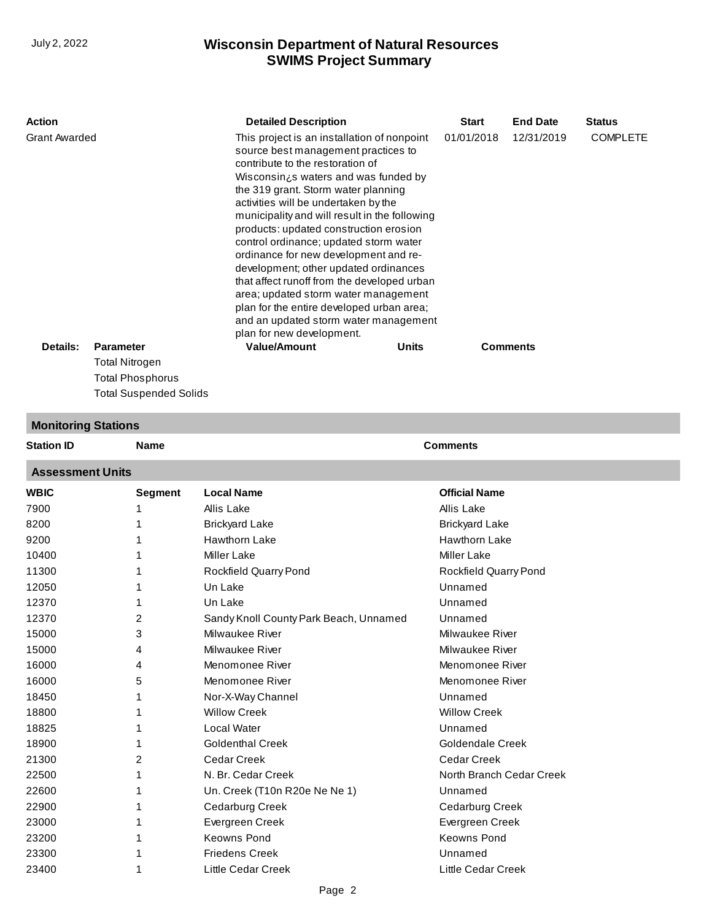| Action               |                  | <b>Detailed Description</b>                                                                                                                                                                                                                                                                                                                                                                                                                                                                                                                                                                                                                                                                                           |  | <b>Start</b> | <b>End Date</b> | <b>Status</b>   |
|----------------------|------------------|-----------------------------------------------------------------------------------------------------------------------------------------------------------------------------------------------------------------------------------------------------------------------------------------------------------------------------------------------------------------------------------------------------------------------------------------------------------------------------------------------------------------------------------------------------------------------------------------------------------------------------------------------------------------------------------------------------------------------|--|--------------|-----------------|-----------------|
| <b>Grant Awarded</b> |                  | This project is an installation of nonpoint<br>source best management practices to<br>contribute to the restoration of<br>Wisconsin¿s waters and was funded by<br>the 319 grant. Storm water planning<br>activities will be undertaken by the<br>municipality and will result in the following<br>products: updated construction erosion<br>control ordinance; updated storm water<br>ordinance for new development and re-<br>development; other updated ordinances<br>that affect runoff from the developed urban<br>area; updated storm water management<br>plan for the entire developed urban area;<br>and an updated storm water management<br>plan for new development.<br><b>Value/Amount</b><br><b>Units</b> |  | 01/01/2018   | 12/31/2019      | <b>COMPLETE</b> |
| Details:             | <b>Parameter</b> |                                                                                                                                                                                                                                                                                                                                                                                                                                                                                                                                                                                                                                                                                                                       |  |              | <b>Comments</b> |                 |
|                      | Total Nitrogen   |                                                                                                                                                                                                                                                                                                                                                                                                                                                                                                                                                                                                                                                                                                                       |  |              |                 |                 |
|                      | Total Phosphorus |                                                                                                                                                                                                                                                                                                                                                                                                                                                                                                                                                                                                                                                                                                                       |  |              |                 |                 |

## **Monitoring Stations**

Total Suspended Solids

| <b>Station ID</b>       | <b>Name</b> |                              | <b>Comments</b>              |  |  |  |
|-------------------------|-------------|------------------------------|------------------------------|--|--|--|
| <b>Assessment Units</b> |             |                              |                              |  |  |  |
| <b>WBIC</b>             | Segment     | <b>Local Name</b>            | <b>Official Name</b>         |  |  |  |
| 7900                    |             | Allis Lake                   | Allis Lake                   |  |  |  |
| 8200                    |             | <b>Brickyard Lake</b>        | <b>Brickyard Lake</b>        |  |  |  |
| 9200                    |             | <b>Hawthorn Lake</b>         | <b>Hawthorn Lake</b>         |  |  |  |
| 10400                   |             | Miller Lake                  | Miller Lake                  |  |  |  |
| 11300                   |             | <b>Rockfield Quarry Pond</b> | <b>Rockfield Quarry Pond</b> |  |  |  |
| 120E                    |             |                              | Innumad                      |  |  |  |

| 1 I JUU |   | <b>INVUNIIGIU QUAITY FUIIU</b>         | <b>INUUNIIGIU QUAITYT UITU</b> |  |
|---------|---|----------------------------------------|--------------------------------|--|
| 12050   |   | Un Lake                                | Unnamed                        |  |
| 12370   |   | Un Lake                                | Unnamed                        |  |
| 12370   | 2 | Sandy Knoll County Park Beach, Unnamed | Unnamed                        |  |
| 15000   | 3 | Milwaukee River                        | Milwaukee River                |  |
| 15000   | 4 | Milwaukee River                        | Milwaukee River                |  |
| 16000   | 4 | Menomonee River                        | Menomonee River                |  |
| 16000   | 5 | Menomonee River                        | Menomonee River                |  |
| 18450   | 1 | Nor-X-Way Channel                      | Unnamed                        |  |
| 18800   |   | <b>Willow Creek</b>                    | <b>Willow Creek</b>            |  |
| 18825   |   | Local Water                            | Unnamed                        |  |
| 18900   |   | <b>Goldenthal Creek</b>                | Goldendale Creek               |  |
| 21300   | 2 | Cedar Creek                            | Cedar Creek                    |  |
| 22500   |   | N. Br. Cedar Creek                     | North Branch Cedar Creek       |  |
| 22600   |   | Un. Creek (T10n R20e Ne Ne 1)          | Unnamed                        |  |
| 22900   |   | Cedarburg Creek                        | Cedarburg Creek                |  |
| 23000   |   | Evergreen Creek                        | Evergreen Creek                |  |
| 23200   |   | Keowns Pond                            | Keowns Pond                    |  |
| 23300   |   | <b>Friedens Creek</b>                  | Unnamed                        |  |
| 23400   |   | Little Cedar Creek                     | Little Cedar Creek             |  |
|         |   |                                        |                                |  |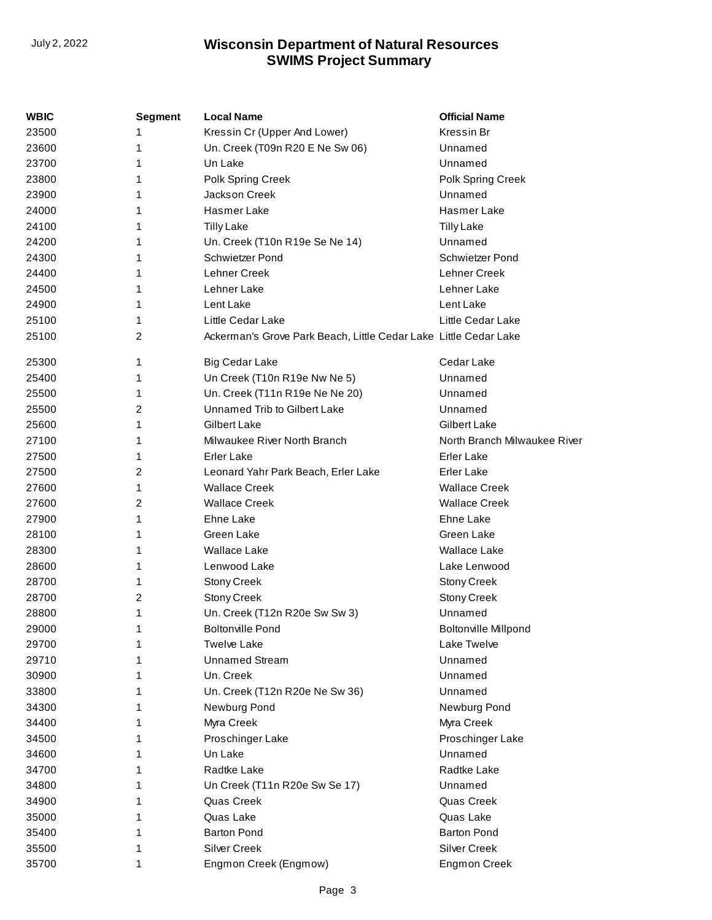| <b>WBIC</b> | <b>Segment</b> | <b>Local Name</b>                                                | <b>Official Name</b>         |
|-------------|----------------|------------------------------------------------------------------|------------------------------|
| 23500       |                | Kressin Cr (Upper And Lower)                                     | Kressin Br                   |
| 23600       | 1              | Un. Creek (T09n R20 E Ne Sw 06)                                  | Unnamed                      |
| 23700       | 1              | Un Lake                                                          | Unnamed                      |
| 23800       | 1              | Polk Spring Creek                                                | Polk Spring Creek            |
| 23900       | 1              | Jackson Creek                                                    | Unnamed                      |
| 24000       | 1              | Hasmer Lake                                                      | Hasmer Lake                  |
| 24100       | 1              | <b>Tilly Lake</b>                                                | <b>Tilly Lake</b>            |
| 24200       | 1              | Un. Creek (T10n R19e Se Ne 14)                                   | Unnamed                      |
| 24300       | 1              | Schwietzer Pond                                                  | Schwietzer Pond              |
| 24400       | 1              | Lehner Creek                                                     | Lehner Creek                 |
| 24500       | 1              | Lehner Lake                                                      | Lehner Lake                  |
| 24900       | 1              | Lent Lake                                                        | Lent Lake                    |
| 25100       | 1              | Little Cedar Lake                                                | Little Cedar Lake            |
| 25100       | 2              | Ackerman's Grove Park Beach, Little Cedar Lake Little Cedar Lake |                              |
|             |                |                                                                  |                              |
| 25300       | 1              | <b>Big Cedar Lake</b>                                            | Cedar Lake                   |
| 25400       | 1              | Un Creek (T10n R19e Nw Ne 5)                                     | Unnamed                      |
| 25500       | 1              | Un. Creek (T11n R19e Ne Ne 20)                                   | Unnamed                      |
| 25500       | 2              | Unnamed Trib to Gilbert Lake                                     | Unnamed                      |
| 25600       | 1              | <b>Gilbert Lake</b>                                              | Gilbert Lake                 |
| 27100       | 1              | Milwaukee River North Branch                                     | North Branch Milwaukee River |
| 27500       | 1              | Erler Lake                                                       | <b>Erler Lake</b>            |
| 27500       | 2              | Leonard Yahr Park Beach, Erler Lake                              | <b>Erler Lake</b>            |
| 27600       | 1              | <b>Wallace Creek</b>                                             | <b>Wallace Creek</b>         |
| 27600       | 2              | <b>Wallace Creek</b>                                             | <b>Wallace Creek</b>         |
| 27900       | 1              | Ehne Lake                                                        | Ehne Lake                    |
| 28100       | 1              | Green Lake                                                       | Green Lake                   |
| 28300       | 1              | <b>Wallace Lake</b>                                              | Wallace Lake                 |
| 28600       | 1              | Lenwood Lake                                                     | Lake Lenwood                 |
| 28700       | 1              | <b>Stony Creek</b>                                               | <b>Stony Creek</b>           |
| 28700       | 2              | <b>Stony Creek</b>                                               | <b>Stony Creek</b>           |
| 28800       | 1              | Un. Creek (T12n R20e Sw Sw 3)                                    | Unnamed                      |
| 29000       | 1.             | <b>Boltonville Pond</b>                                          | <b>Boltonville Millpond</b>  |
| 29700       | 1              | Twelve Lake                                                      | Lake Twelve                  |
| 29710       |                | <b>Unnamed Stream</b>                                            | Unnamed                      |
| 30900       |                | Un. Creek                                                        | Unnamed                      |
| 33800       |                | Un. Creek (T12n R20e Ne Sw 36)                                   | Unnamed                      |
| 34300       |                | Newburg Pond                                                     | Newburg Pond                 |
| 34400       |                | Myra Creek                                                       | Myra Creek                   |
| 34500       |                | Proschinger Lake                                                 | Proschinger Lake             |
| 34600       |                | Un Lake                                                          | Unnamed                      |
| 34700       |                | Radtke Lake                                                      | Radtke Lake                  |
| 34800       | 1              | Un Creek (T11n R20e Sw Se 17)                                    | Unnamed                      |
| 34900       |                | Quas Creek                                                       | Quas Creek                   |
| 35000       |                | Quas Lake                                                        | Quas Lake                    |
| 35400       |                | <b>Barton Pond</b>                                               | <b>Barton Pond</b>           |
| 35500       | 1              | <b>Silver Creek</b>                                              | <b>Silver Creek</b>          |
| 35700       | 1              | Engmon Creek (Engmow)                                            | Engmon Creek                 |
|             |                |                                                                  |                              |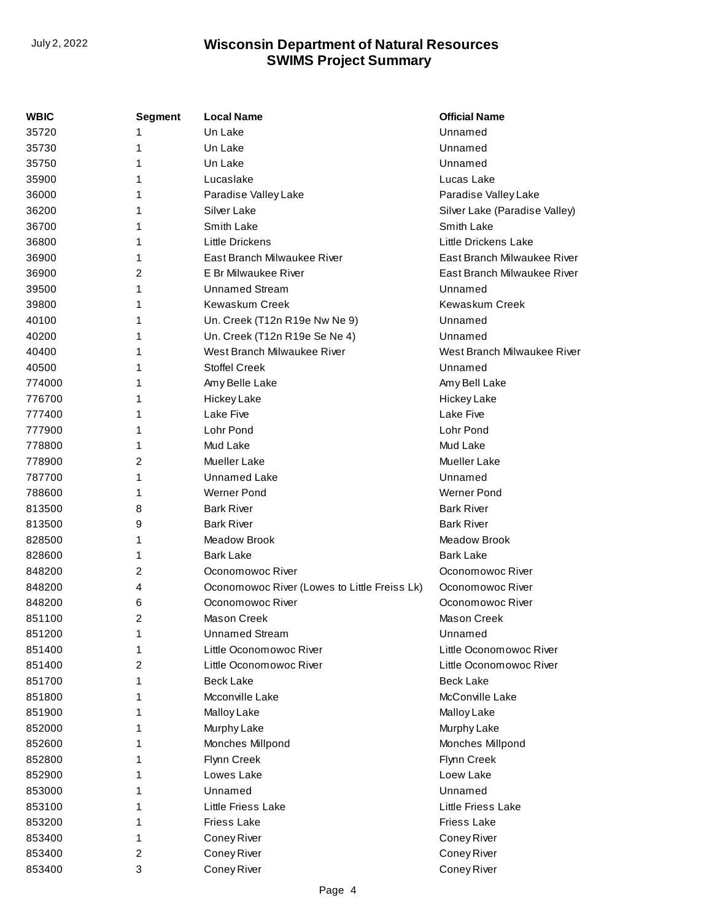| <b>WBIC</b> | <b>Segment</b> | <b>Local Name</b>                            | <b>Official Name</b>          |
|-------------|----------------|----------------------------------------------|-------------------------------|
| 35720       | 1              | Un Lake                                      | Unnamed                       |
| 35730       | 1              | Un Lake                                      | Unnamed                       |
| 35750       | 1              | Un Lake                                      | Unnamed                       |
| 35900       | 1              | Lucaslake                                    | Lucas Lake                    |
| 36000       | 1              | Paradise Valley Lake                         | Paradise Valley Lake          |
| 36200       | 1              | Silver Lake                                  | Silver Lake (Paradise Valley) |
| 36700       | 1              | Smith Lake                                   | Smith Lake                    |
| 36800       | 1              | <b>Little Drickens</b>                       | Little Drickens Lake          |
| 36900       | 1              | East Branch Milwaukee River                  | East Branch Milwaukee River   |
| 36900       | 2              | E Br Milwaukee River                         | East Branch Milwaukee River   |
| 39500       | 1              | <b>Unnamed Stream</b>                        | Unnamed                       |
| 39800       | 1              | <b>Kewaskum Creek</b>                        | Kewaskum Creek                |
| 40100       | 1              | Un. Creek (T12n R19e Nw Ne 9)                | Unnamed                       |
| 40200       | 1              | Un. Creek (T12n R19e Se Ne 4)                | Unnamed                       |
| 40400       | 1              | West Branch Milwaukee River                  | West Branch Milwaukee River   |
| 40500       | 1              | <b>Stoffel Creek</b>                         | Unnamed                       |
| 774000      | 1              | Amy Belle Lake                               | Amy Bell Lake                 |
| 776700      | 1              | Hickey Lake                                  | <b>Hickey Lake</b>            |
| 777400      | 1              | Lake Five                                    | Lake Five                     |
| 777900      | 1              | Lohr Pond                                    | Lohr Pond                     |
| 778800      | 1              | Mud Lake                                     | Mud Lake                      |
| 778900      | 2              | <b>Mueller Lake</b>                          | Mueller Lake                  |
| 787700      | 1              | <b>Unnamed Lake</b>                          | Unnamed                       |
| 788600      | 1              | <b>Werner Pond</b>                           | <b>Werner Pond</b>            |
| 813500      | 8              | <b>Bark River</b>                            | <b>Bark River</b>             |
| 813500      | 9              | <b>Bark River</b>                            | <b>Bark River</b>             |
| 828500      | 1              | Meadow Brook                                 | <b>Meadow Brook</b>           |
| 828600      | 1              | <b>Bark Lake</b>                             | Bark Lake                     |
| 848200      | 2              | Oconomowoc River                             | Oconomowoc River              |
| 848200      | 4              | Oconomowoc River (Lowes to Little Freiss Lk) | Oconomowoc River              |
| 848200      | 6              | Oconomowoc River                             | Oconomowoc River              |
| 851100      | 2              | Mason Creek                                  | Mason Creek                   |
| 851200      | 1              | <b>Unnamed Stream</b>                        | Unnamed                       |
| 851400      | 1              | Little Oconomowoc River                      | Little Oconomowoc River       |
| 851400      | 2              | Little Oconomowoc River                      | Little Oconomowoc River       |
| 851700      | 1              | <b>Beck Lake</b>                             | <b>Beck Lake</b>              |
| 851800      | 1              | Mcconville Lake                              | McConville Lake               |
| 851900      | 1              | Malloy Lake                                  | Malloy Lake                   |
| 852000      | 1              | Murphy Lake                                  | Murphy Lake                   |
| 852600      | 1              | Monches Millpond                             | Monches Millpond              |
| 852800      | 1              | Flynn Creek                                  | Flynn Creek                   |
| 852900      | 1              | Lowes Lake                                   | Loew Lake                     |
| 853000      | 1              | Unnamed                                      | Unnamed                       |
| 853100      |                | Little Friess Lake                           | Little Friess Lake            |
| 853200      | 1              | <b>Friess Lake</b>                           | <b>Friess Lake</b>            |
| 853400      | 1              | Coney River                                  | Coney River                   |
| 853400      | 2              | Coney River                                  | Coney River                   |
| 853400      | 3              | Coney River                                  | Coney River                   |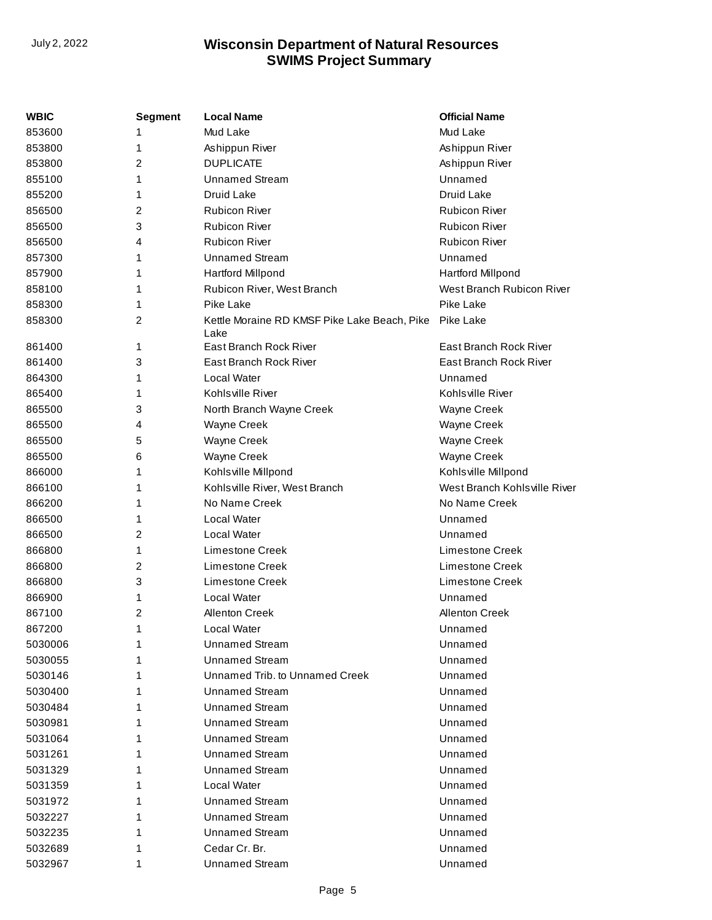| WBIC    | <b>Segment</b> | <b>Local Name</b>                            | <b>Official Name</b>         |
|---------|----------------|----------------------------------------------|------------------------------|
| 853600  |                | Mud Lake                                     | Mud Lake                     |
| 853800  | 1              | Ashippun River                               | Ashippun River               |
| 853800  | 2              | <b>DUPLICATE</b>                             | Ashippun River               |
| 855100  | 1              | <b>Unnamed Stream</b>                        | Unnamed                      |
| 855200  | 1              | Druid Lake                                   | <b>Druid Lake</b>            |
| 856500  | 2              | <b>Rubicon River</b>                         | <b>Rubicon River</b>         |
| 856500  | 3              | <b>Rubicon River</b>                         | <b>Rubicon River</b>         |
| 856500  | 4              | <b>Rubicon River</b>                         | <b>Rubicon River</b>         |
| 857300  | 1              | <b>Unnamed Stream</b>                        | Unnamed                      |
| 857900  | 1              | <b>Hartford Millpond</b>                     | <b>Hartford Millpond</b>     |
| 858100  | 1              | Rubicon River, West Branch                   | West Branch Rubicon River    |
| 858300  | 1              | Pike Lake                                    | Pike Lake                    |
| 858300  | 2              | Kettle Moraine RD KMSF Pike Lake Beach, Pike | Pike Lake                    |
|         |                | Lake                                         |                              |
| 861400  | 1              | East Branch Rock River                       | East Branch Rock River       |
| 861400  | 3              | East Branch Rock River                       | East Branch Rock River       |
| 864300  | 1              | Local Water                                  | Unnamed                      |
| 865400  | 1              | Kohlsville River                             | Kohlsville River             |
| 865500  | 3              | North Branch Wayne Creek                     | Wayne Creek                  |
| 865500  | 4              | Wayne Creek                                  | Wayne Creek                  |
| 865500  | 5              | Wayne Creek                                  | Wayne Creek                  |
| 865500  | 6              | Wayne Creek                                  | Wayne Creek                  |
| 866000  | 1              | Kohlsville Millpond                          | Kohlsville Millpond          |
| 866100  | 1              | Kohlsville River, West Branch                | West Branch Kohlsville River |
| 866200  | 1              | No Name Creek                                | No Name Creek                |
| 866500  | 1              | Local Water                                  | Unnamed                      |
| 866500  | 2              | Local Water                                  | Unnamed                      |
| 866800  | 1              | Limestone Creek                              | Limestone Creek              |
| 866800  | 2              | Limestone Creek                              | Limestone Creek              |
| 866800  | 3              | Limestone Creek                              | Limestone Creek              |
| 866900  | 1              | Local Water                                  | Unnamed                      |
| 867100  | 2              | <b>Allenton Creek</b>                        | <b>Allenton Creek</b>        |
| 867200  | 1              | Local Water                                  | Unnamed                      |
| 5030006 | 1              | <b>Unnamed Stream</b>                        | Unnamed                      |
| 5030055 |                | <b>Unnamed Stream</b>                        | Unnamed                      |
| 5030146 |                | Unnamed Trib. to Unnamed Creek               | Unnamed                      |
| 5030400 |                | <b>Unnamed Stream</b>                        | Unnamed                      |
| 5030484 |                | <b>Unnamed Stream</b>                        | Unnamed                      |
| 5030981 |                | <b>Unnamed Stream</b>                        | Unnamed                      |
| 5031064 |                | <b>Unnamed Stream</b>                        | Unnamed                      |
| 5031261 |                | <b>Unnamed Stream</b>                        | Unnamed                      |
| 5031329 |                | <b>Unnamed Stream</b>                        | Unnamed                      |
| 5031359 |                | Local Water                                  | Unnamed                      |
| 5031972 |                | <b>Unnamed Stream</b>                        | Unnamed                      |
| 5032227 |                | <b>Unnamed Stream</b>                        | Unnamed                      |
| 5032235 |                | <b>Unnamed Stream</b>                        | Unnamed                      |
| 5032689 |                | Cedar Cr. Br.                                | Unnamed                      |
| 5032967 | 1              | <b>Unnamed Stream</b>                        | Unnamed                      |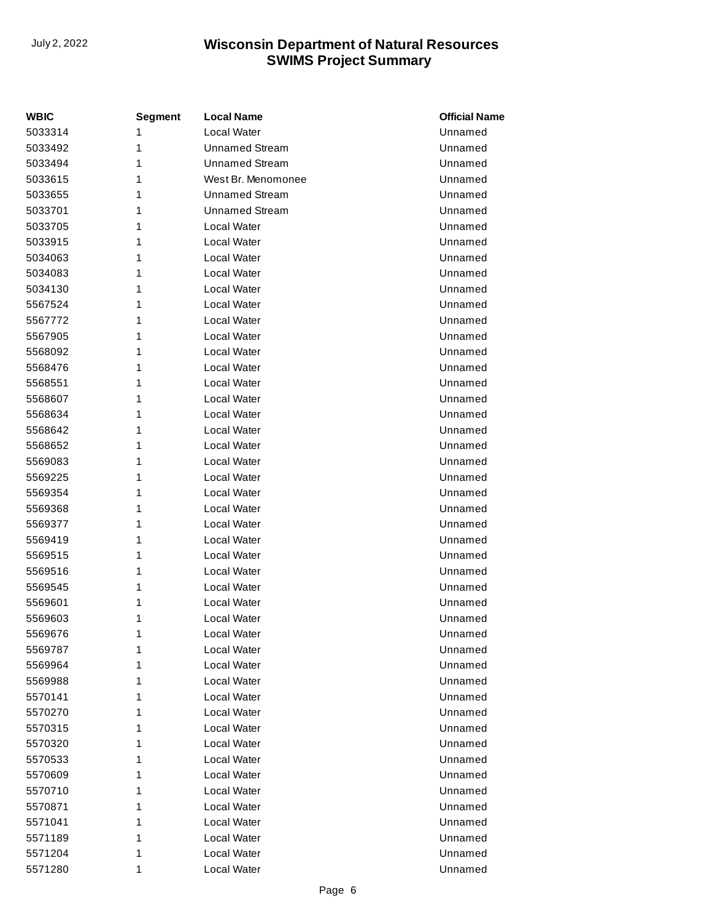| <b>WBIC</b> | Segment | <b>Local Name</b>     | <b>Official Name</b> |
|-------------|---------|-----------------------|----------------------|
| 5033314     | 1       | Local Water           | Unnamed              |
| 5033492     | 1       | <b>Unnamed Stream</b> | Unnamed              |
| 5033494     | 1       | <b>Unnamed Stream</b> | Unnamed              |
| 5033615     | 1       | West Br. Menomonee    | Unnamed              |
| 5033655     | 1       | <b>Unnamed Stream</b> | Unnamed              |
| 5033701     | 1       | <b>Unnamed Stream</b> | Unnamed              |
| 5033705     | 1       | Local Water           | Unnamed              |
| 5033915     | 1       | Local Water           | Unnamed              |
| 5034063     | 1       | Local Water           | Unnamed              |
| 5034083     | 1       | Local Water           | Unnamed              |
| 5034130     | 1       | Local Water           | Unnamed              |
| 5567524     | 1       | Local Water           | Unnamed              |
| 5567772     | 1       | Local Water           | Unnamed              |
| 5567905     | 1       | Local Water           | Unnamed              |
| 5568092     | 1       | Local Water           | Unnamed              |
| 5568476     | 1       | Local Water           | Unnamed              |
| 5568551     | 1       | Local Water           | Unnamed              |
| 5568607     | 1       | Local Water           | Unnamed              |
| 5568634     | 1       | Local Water           | Unnamed              |
| 5568642     | 1       | Local Water           | Unnamed              |
| 5568652     | 1       | Local Water           | Unnamed              |
| 5569083     | 1       | Local Water           | Unnamed              |
| 5569225     | 1       | Local Water           | Unnamed              |
| 5569354     | 1       | Local Water           | Unnamed              |
| 5569368     | 1       | Local Water           | Unnamed              |
| 5569377     | 1       | Local Water           | Unnamed              |
| 5569419     | 1       | Local Water           | Unnamed              |
| 5569515     | 1       | Local Water           | Unnamed              |
| 5569516     | 1       | Local Water           | Unnamed              |
| 5569545     | 1       | Local Water           | Unnamed              |
| 5569601     | 1       | Local Water           | Unnamed              |
| 5569603     | 1       | Local Water           | Unnamed              |
| 5569676     | 1       | Local Water           | Unnamed              |
| 5569787     | 1       | Local Water           | Unnamed              |
| 5569964     | 1       | Local Water           | Unnamed              |
| 5569988     | 1       | Local Water           | Unnamed              |
| 5570141     | 1       | Local Water           | Unnamed              |
| 5570270     | 1       | Local Water           | Unnamed              |
| 5570315     | 1       | Local Water           | Unnamed              |
| 5570320     | 1       | Local Water           | Unnamed              |
| 5570533     | 1       | Local Water           | Unnamed              |
| 5570609     | 1       | Local Water           | Unnamed              |
| 5570710     | 1       | Local Water           | Unnamed              |
| 5570871     | 1       | Local Water           | Unnamed              |
| 5571041     | 1       | Local Water           | Unnamed              |
| 5571189     | 1       | Local Water           | Unnamed              |
| 5571204     | 1       | Local Water           | Unnamed              |
| 5571280     | 1       | Local Water           | Unnamed              |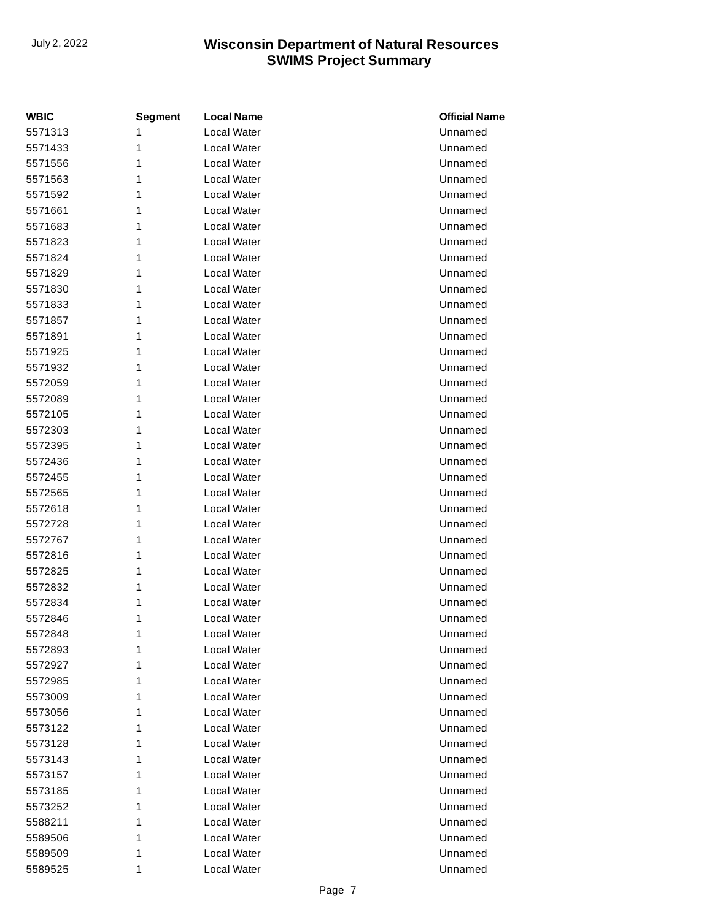| <b>WBIC</b> | <b>Segment</b> | <b>Local Name</b> | <b>Official Name</b> |
|-------------|----------------|-------------------|----------------------|
| 5571313     | 1              | Local Water       | Unnamed              |
| 5571433     | 1              | Local Water       | Unnamed              |
| 5571556     | 1              | Local Water       | Unnamed              |
| 5571563     | 1              | Local Water       | Unnamed              |
| 5571592     | 1              | Local Water       | Unnamed              |
| 5571661     | 1              | Local Water       | Unnamed              |
| 5571683     | 1              | Local Water       | Unnamed              |
| 5571823     | 1              | Local Water       | Unnamed              |
| 5571824     | 1              | Local Water       | Unnamed              |
| 5571829     | 1              | Local Water       | Unnamed              |
| 5571830     | 1              | Local Water       | Unnamed              |
| 5571833     | 1              | Local Water       | Unnamed              |
| 5571857     | 1              | Local Water       | Unnamed              |
| 5571891     | 1              | Local Water       | Unnamed              |
| 5571925     | 1              | Local Water       | Unnamed              |
| 5571932     | 1              | Local Water       | Unnamed              |
| 5572059     | 1              | Local Water       | Unnamed              |
| 5572089     | 1              | Local Water       | Unnamed              |
| 5572105     | 1              | Local Water       | Unnamed              |
| 5572303     | 1              | Local Water       | Unnamed              |
| 5572395     | 1              | Local Water       | Unnamed              |
| 5572436     | 1              | Local Water       | Unnamed              |
| 5572455     | 1              | Local Water       | Unnamed              |
| 5572565     | 1              | Local Water       | Unnamed              |
| 5572618     | 1              | Local Water       | Unnamed              |
| 5572728     | 1              | Local Water       | Unnamed              |
| 5572767     | 1              | Local Water       | Unnamed              |
| 5572816     | 1              | Local Water       | Unnamed              |
| 5572825     | 1              | Local Water       | Unnamed              |
| 5572832     | 1              | Local Water       | Unnamed              |
| 5572834     | 1              | Local Water       | Unnamed              |
| 5572846     | 1              | Local Water       | Unnamed              |
| 5572848     | 1              | Local Water       | Unnamed              |
| 5572893     | 1              | Local Water       | Unnamed              |
| 5572927     | 1              | Local Water       | Unnamed              |
| 5572985     | 1              | Local Water       | Unnamed              |
| 5573009     | 1              | Local Water       | Unnamed              |
| 5573056     | 1              | Local Water       | Unnamed              |
| 5573122     | 1              | Local Water       | Unnamed              |
| 5573128     | 1              | Local Water       | Unnamed              |
| 5573143     | 1              | Local Water       | Unnamed              |
| 5573157     | 1              | Local Water       | Unnamed              |
| 5573185     | 1              | Local Water       | Unnamed              |
| 5573252     | 1              | Local Water       | Unnamed              |
| 5588211     | 1              | Local Water       | Unnamed              |
| 5589506     | 1              | Local Water       | Unnamed              |
| 5589509     | 1              | Local Water       | Unnamed              |
| 5589525     | 1              | Local Water       | Unnamed              |